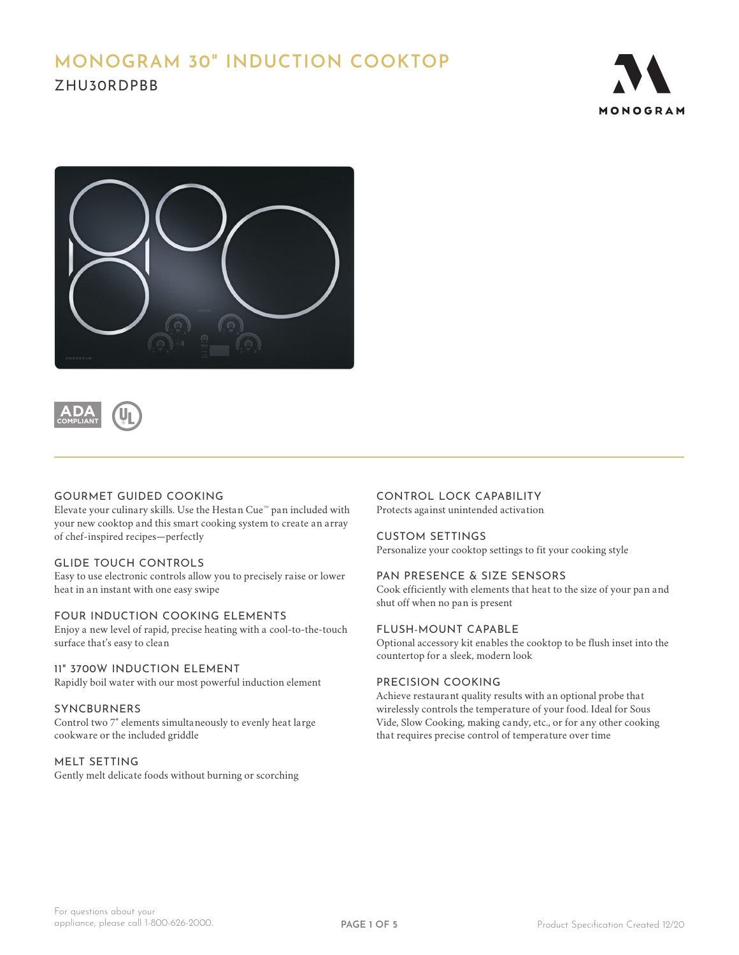# **MONOGRAM 30" INDUCTION COOKTOP** ZHU30RDPBB







#### GOURMET GUIDED COOKING

Elevate your culinary skills. Use the Hestan Cue™ pan included with your new cooktop and this smart cooking system to create an array of chef-inspired recipes—perfectly

#### GLIDE TOUCH CONTROLS

Easy to use electronic controls allow you to precisely raise or lower heat in an instant with one easy swipe

#### FOUR INDUCTION COOKING ELEMENTS

Enjoy a new level of rapid, precise heating with a cool-to-the-touch surface that's easy to clean

#### 11" 3700W INDUCTION ELEMENT

Rapidly boil water with our most powerful induction element

#### SYNCBURNERS

Control two 7" elements simultaneously to evenly heat large cookware or the included griddle

#### MELT SETTING

Gently melt delicate foods without burning or scorching

### CONTROL LOCK CAPABILITY

Protects against unintended activation

#### CUSTOM SETTINGS

Personalize your cooktop settings to fit your cooking style

#### PAN PRESENCE & SIZE SENSORS

Cook efficiently with elements that heat to the size of your pan and shut off when no pan is present

#### FLUSH-MOUNT CAPABLE

Optional accessory kit enables the cooktop to be flush inset into the countertop for a sleek, modern look

#### PRECISION COOKING

Achieve restaurant quality results with an optional probe that wirelessly controls the temperature of your food. Ideal for Sous Vide, Slow Cooking, making candy, etc., or for any other cooking that requires precise control of temperature over time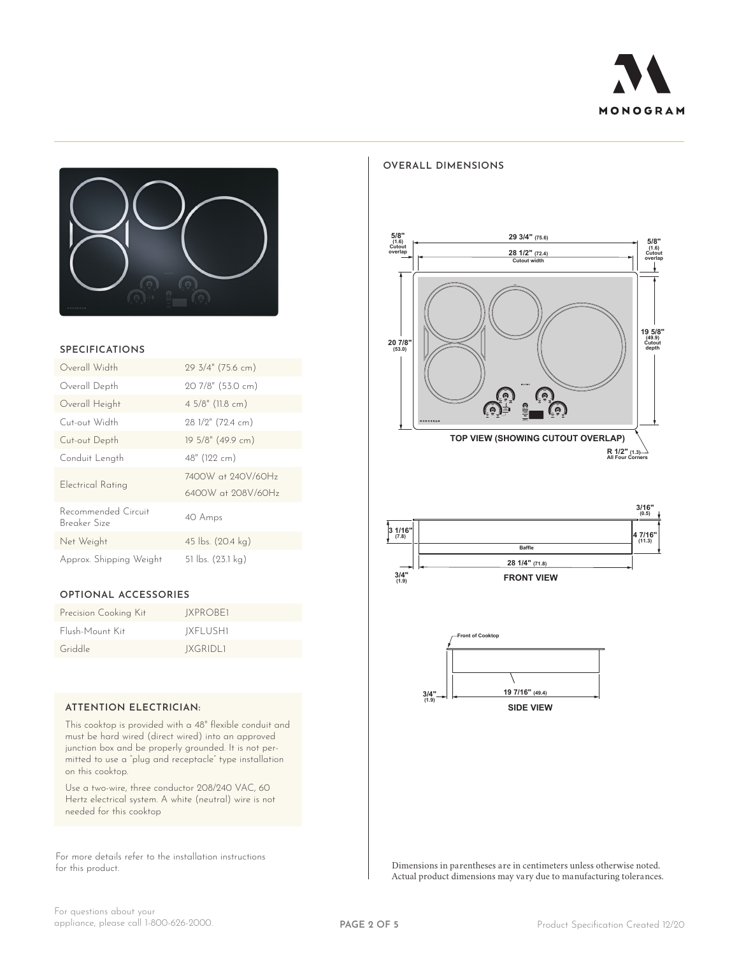

## **OVERALL DIMENSIONS**



#### **SPECIFICATIONS**

| Overall Width                       | 29 3/4" (75.6 cm)                        |
|-------------------------------------|------------------------------------------|
| Overall Depth                       | 20 7/8" (53.0 cm)                        |
| Overall Height                      | 4 5/8" (11.8 cm)                         |
| Cut-out Width                       | 28 1/2" (72.4 cm)                        |
| Cut-out Depth                       | 19 5/8" (49.9 cm)                        |
| Conduit Length                      | 48" (122 cm)                             |
| Electrical Rating                   | 7400W at 240V/60Hz<br>6400W at 208V/60Hz |
| Recommended Circuit<br>Breaker Size | 40 Amps                                  |
| Net Weight                          | 45 lbs. (20.4 kg)                        |
| Approx. Shipping Weight             | 51 lbs. (23.1 kg)                        |

#### **OPTIONAL ACCESSORIES**

| Precision Cooking Kit | IXPROBE1        |
|-----------------------|-----------------|
| Flush-Mount Kit       | IXFLUSHI        |
| Griddle               | <b>JXGRIDLI</b> |

#### **ATTENTION ELECTRICIAN:**

This cooktop is provided with a 48" flexible conduit and must be hard wired (direct wired) into an approved junction box and be properly grounded. It is not permitted to use a "plug and receptacle" type installation on this cooktop.

Use a two-wire, three conductor 208/240 VAC, 60 Hertz electrical system. A white (neutral) wire is not needed for this cooktop

For more details refer to the installation instructions for this product.







Dimensions in parentheses are in centimeters unless otherwise noted. Actual product dimensions may vary due to manufacturing tolerances.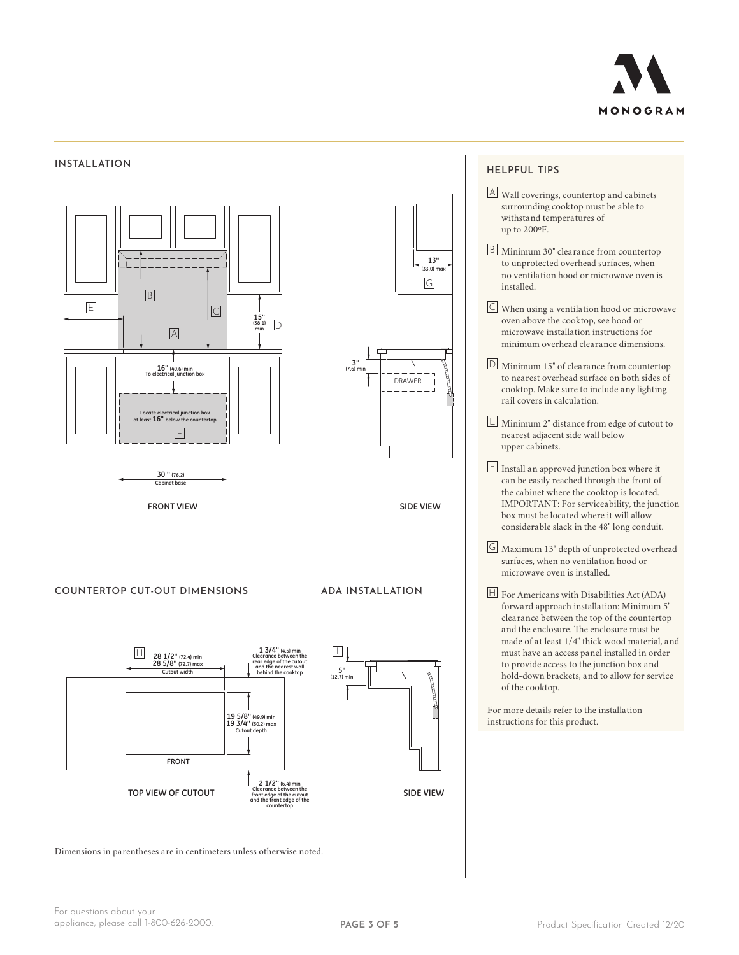

#### **INSTALLATION**



#### **HELPFUL TIPS**

- A Wall coverings, countertop and cabinets surrounding cooktop must be able to withstand temperatures of up to 200ºF.
- B Minimum 30" clearance from countertop to unprotected overhead surfaces, when no ventilation hood or microwave oven is installed.
- C When using a ventilation hood or microwave oven above the cooktop, see hood or microwave installation instructions for minimum overhead clearance dimensions.
- D Minimum 15" of clearance from countertop to nearest overhead surface on both sides of cooktop. Make sure to include any lighting rail covers in calculation.
- E Minimum 2" distance from edge of cutout to nearest adjacent side wall below upper cabinets.
- $E$  Install an approved junction box where it can be easily reached through the front of the cabinet where the cooktop is located. IMPORTANT: For serviceability, the junction box must be located where it will allow considerable slack in the 48" long conduit.
- G Maximum 13" depth of unprotected overhead surfaces, when no ventilation hood or microwave oven is installed.
- $H$  For Americans with Disabilities Act (ADA) forward approach installation: Minimum 5" clearance between the top of the countertop and the enclosure. The enclosure must be made of at least 1/4" thick wood material, and must have an access panel installed in order to provide access to the junction box and hold-down brackets, and to allow for service of the cooktop.

For more details refer to the installation instructions for this product.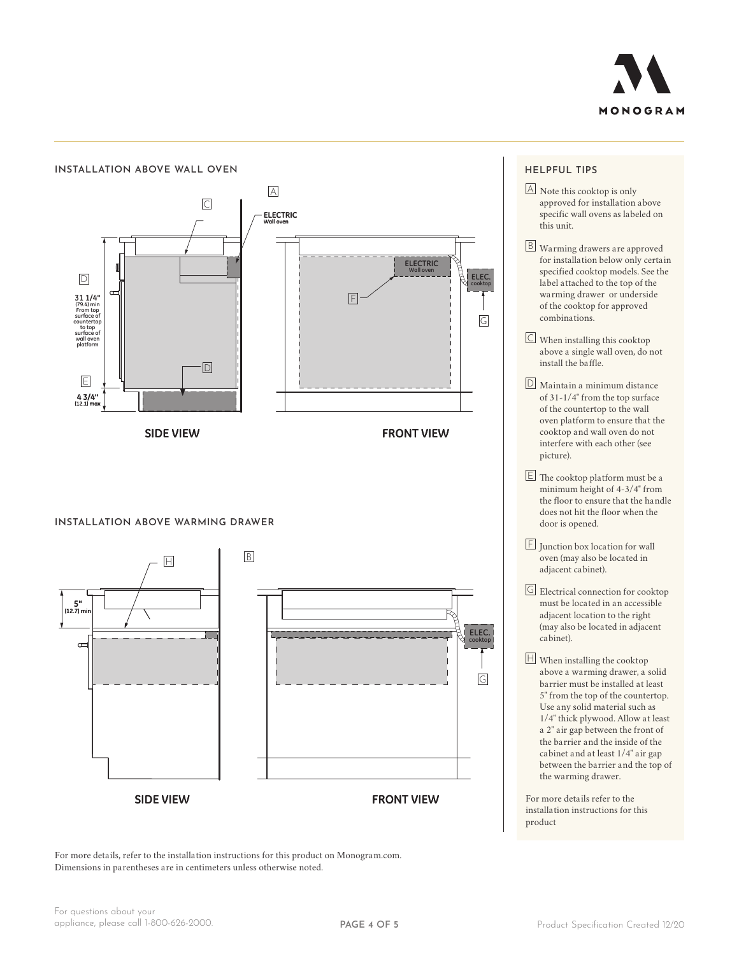



Dimensions in parentheses are in centimeters unless otherwise noted. For more details, refer to the installation instructions for this product on Monogram.com.

## **ELEC. cooktop**

- specific wall ovens as labeled on **cooktop** this unit. A Note this cooktop is only approved for installation above
- B Warming drawers are approved for installation below only certain specified cooktop models. See the label attached to the top of the warming drawer or underside of the cooktop for approved combinations.
- $\boxed{\subset}$  When installing this cooktop above a single wall oven, do not install the baffle.
- D Maintain a minimum distance of 31-1/4" from the top surface of the countertop to the wall oven platform to ensure that the cooktop and wall oven do not interfere with each other (see picture).
- $E$  The cooktop platform must be a minimum height of 4-3/4" from the floor to ensure that the handle does not hit the floor when the door is opened.
- $F$  Junction box location for wall oven (may also be located in adjacent cabinet).
- **cooktop** G Electrical connection for cooktop must be located in an accessible adjacent location to the right (may also be located in adjacent cabinet).
- $H$  When installing the cooktop above a warming drawer, a solid barrier must be installed at least 5" from the top of the countertop. Use any solid material such as 1/4" thick plywood. Allow at least a 2" air gap between the front of the barrier and the inside of the cabinet and at least 1/4" air gap between the barrier and the top of the warming drawer.

For more details refer to the installation instructions for this product